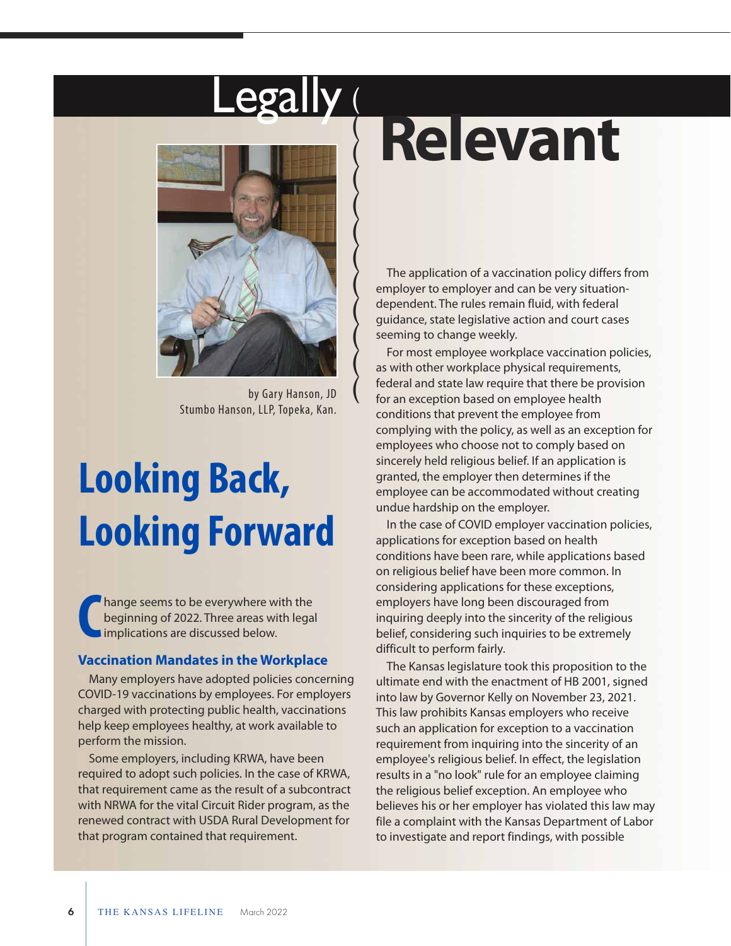### -egally (  $\sqrt{}$

(

(

(

(

(

(

(

(

(

(



by Gary Hanson, JD Stumbo Hanson, LLP, Topeka, Kan.

### **Looking Back, Looking Forward**

hange seems to be everywhere with the beginning of 2022. Three areas with legal Implications are discussed below. **C**

#### **Vaccination Mandates in the Workplace**

Many employers have adopted policies concerning COVID-19 vaccinations by employees. For employers charged with protecting public health, vaccinations help keep employees healthy, at work available to perform the mission.

Some employers, including KRWA, have been required to adopt such policies. In the case of KRWA, that requirement came as the result of a subcontract with NRWA for the vital Circuit Rider program, as the renewed contract with USDA Rural Development for that program contained that requirement.

## **Relevant**

The application of a vaccination policy differs from employer to employer and can be very situationdependent. The rules remain fluid, with federal guidance, state legislative action and court cases seeming to change weekly.

For most employee workplace vaccination policies, as with other workplace physical requirements, federal and state law require that there be provision for an exception based on employee health conditions that prevent the employee from complying with the policy, as well as an exception for employees who choose not to comply based on sincerely held religious belief. If an application is granted, the employer then determines if the employee can be accommodated without creating undue hardship on the employer.

In the case of COVID employer vaccination policies, applications for exception based on health conditions have been rare, while applications based on religious belief have been more common. In considering applications for these exceptions, employers have long been discouraged from inquiring deeply into the sincerity of the religious belief, considering such inquiries to be extremely difficult to perform fairly.

The Kansas legislature took this proposition to the ultimate end with the enactment of HB 2001, signed into law by Governor Kelly on November 23, 2021. This law prohibits Kansas employers who receive such an application for exception to a vaccination requirement from inquiring into the sincerity of an employee's religious belief. In effect, the legislation results in a "no look" rule for an employee claiming the religious belief exception. An employee who believes his or her employer has violated this law may file a complaint with the Kansas Department of Labor to investigate and report findings, with possible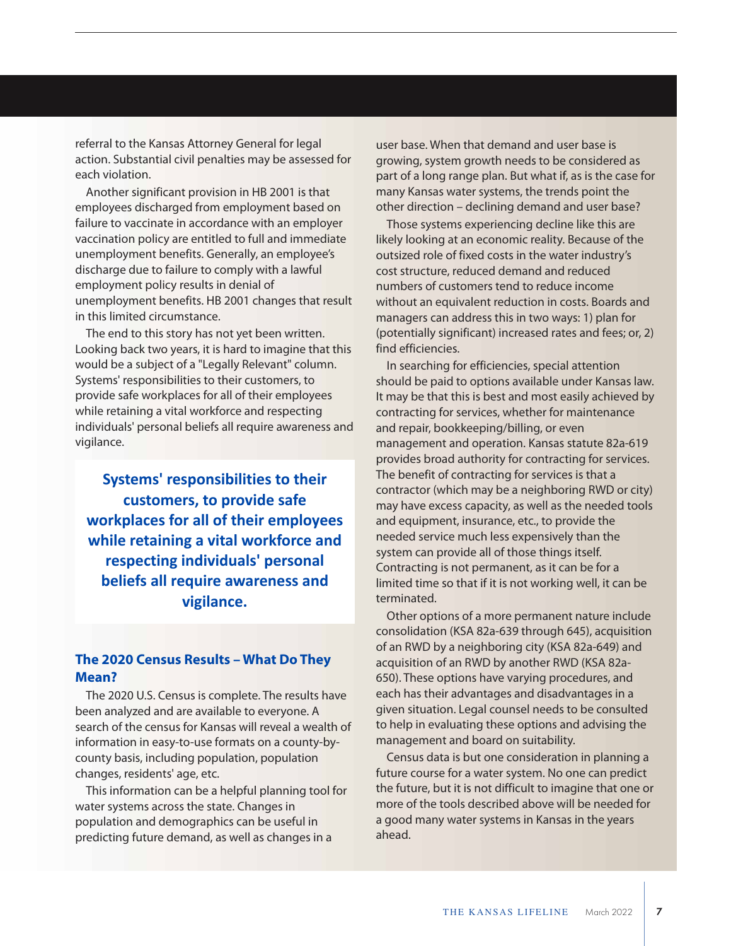referral to the Kansas Attorney General for legal action. Substantial civil penalties may be assessed for each violation.

Another significant provision in HB 2001 is that employees discharged from employment based on failure to vaccinate in accordance with an employer vaccination policy are entitled to full and immediate unemployment benefits. Generally, an employee's discharge due to failure to comply with a lawful employment policy results in denial of unemployment benefits. HB 2001 changes that result in this limited circumstance.

The end to this story has not yet been written. Looking back two years, it is hard to imagine that this would be a subject of a "Legally Relevant" column. Systems' responsibilities to their customers, to provide safe workplaces for all of their employees while retaining a vital workforce and respecting individuals' personal beliefs all require awareness and vigilance.

**Systems' responsibilities to their customers, to provide safe workplaces for all of their employees while retaining a vital workforce and respecting individuals' personal beliefs all require awareness and vigilance.**

### **The 2020 Census Results – What Do They Mean?**

The 2020 U.S. Census is complete. The results have been analyzed and are available to everyone. A search of the census for Kansas will reveal a wealth of information in easy-to-use formats on a county-bycounty basis, including population, population changes, residents' age, etc.

This information can be a helpful planning tool for water systems across the state. Changes in population and demographics can be useful in predicting future demand, as well as changes in a

user base. When that demand and user base is growing, system growth needs to be considered as part of a long range plan. But what if, as is the case for many Kansas water systems, the trends point the other direction – declining demand and user base?

Those systems experiencing decline like this are likely looking at an economic reality. Because of the outsized role of fixed costs in the water industry's cost structure, reduced demand and reduced numbers of customers tend to reduce income without an equivalent reduction in costs. Boards and managers can address this in two ways: 1) plan for (potentially significant) increased rates and fees; or, 2) find efficiencies.

In searching for efficiencies, special attention should be paid to options available under Kansas law. It may be that this is best and most easily achieved by contracting for services, whether for maintenance and repair, bookkeeping/billing, or even management and operation. Kansas statute 82a-619 provides broad authority for contracting for services. The benefit of contracting for services is that a contractor (which may be a neighboring RWD or city) may have excess capacity, as well as the needed tools and equipment, insurance, etc., to provide the needed service much less expensively than the system can provide all of those things itself. Contracting is not permanent, as it can be for a limited time so that if it is not working well, it can be terminated.

Other options of a more permanent nature include consolidation (KSA 82a-639 through 645), acquisition of an RWD by a neighboring city (KSA 82a-649) and acquisition of an RWD by another RWD (KSA 82a-650). These options have varying procedures, and each has their advantages and disadvantages in a given situation. Legal counsel needs to be consulted to help in evaluating these options and advising the management and board on suitability.

Census data is but one consideration in planning a future course for a water system. No one can predict the future, but it is not difficult to imagine that one or more of the tools described above will be needed for a good many water systems in Kansas in the years ahead.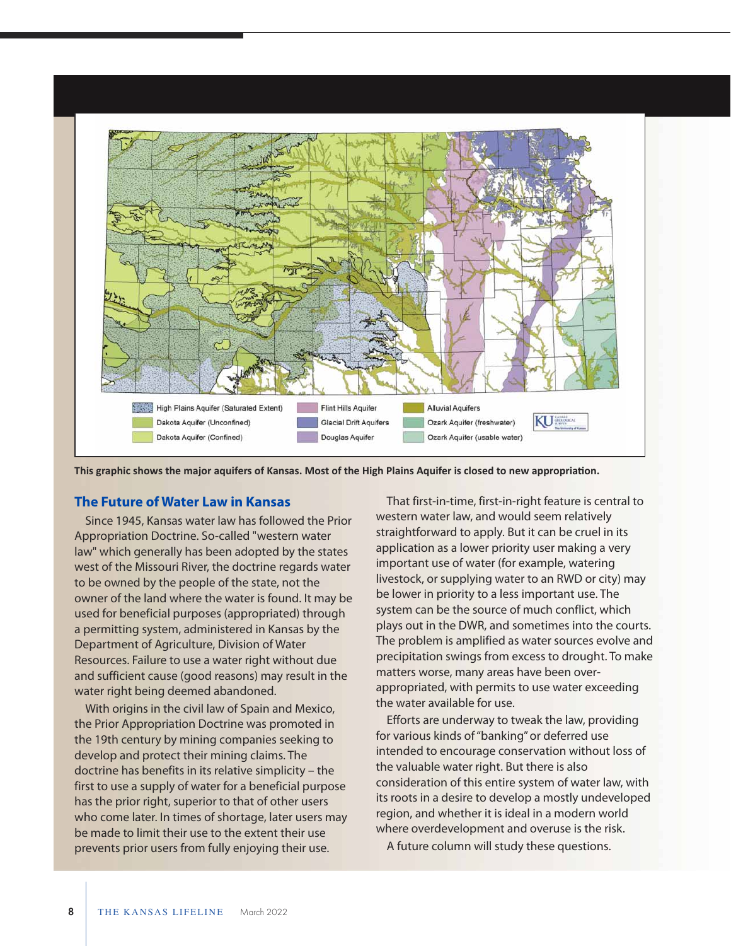

**This graphic shows the major aquifers of Kansas. Most of the High Plains Aquifer is closed to new appropriation.** 

#### **The Future of Water Law in Kansas**

Since 1945, Kansas water law has followed the Prior Appropriation Doctrine. So-called "western water law" which generally has been adopted by the states west of the Missouri River, the doctrine regards water to be owned by the people of the state, not the owner of the land where the water is found. It may be used for beneficial purposes (appropriated) through a permitting system, administered in Kansas by the Department of Agriculture, Division of Water Resources. Failure to use a water right without due and sufficient cause (good reasons) may result in the water right being deemed abandoned.

With origins in the civil law of Spain and Mexico, the Prior Appropriation Doctrine was promoted in the 19th century by mining companies seeking to develop and protect their mining claims. The doctrine has benefits in its relative simplicity – the first to use a supply of water for a beneficial purpose has the prior right, superior to that of other users who come later. In times of shortage, later users may be made to limit their use to the extent their use prevents prior users from fully enjoying their use.

That first-in-time, first-in-right feature is central to western water law, and would seem relatively straightforward to apply. But it can be cruel in its application as a lower priority user making a very important use of water (for example, watering livestock, or supplying water to an RWD or city) may be lower in priority to a less important use. The system can be the source of much conflict, which plays out in the DWR, and sometimes into the courts. The problem is amplified as water sources evolve and precipitation swings from excess to drought. To make matters worse, many areas have been overappropriated, with permits to use water exceeding the water available for use.

Efforts are underway to tweak the law, providing for various kinds of "banking" or deferred use intended to encourage conservation without loss of the valuable water right. But there is also consideration of this entire system of water law, with its roots in a desire to develop a mostly undeveloped region, and whether it is ideal in a modern world where overdevelopment and overuse is the risk.

A future column will study these questions.